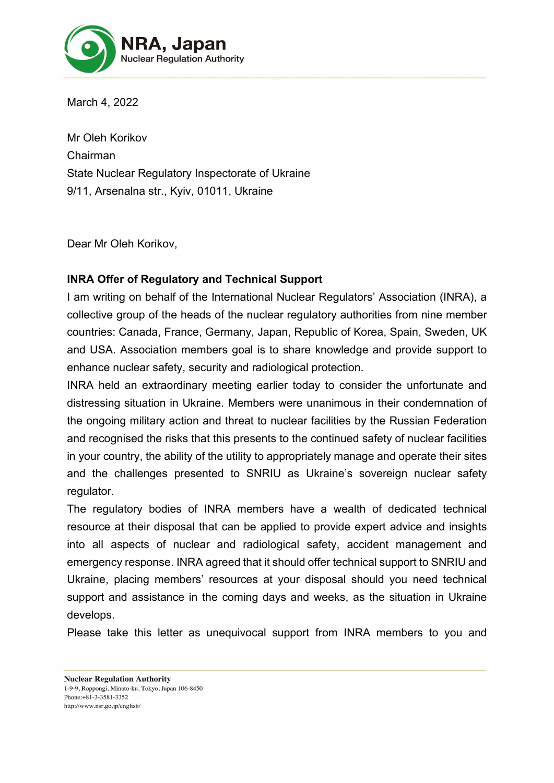

March 4, 2022

Mr Oleh Korikov Chairman State Nuclear Regulatory Inspectorate of Ukraine 9/11, Arsenalna str., Kyiv, 01011, Ukraine

Dear Mr Oleh Korikov,

## **INRA Offer of Regulatory and Technical Support**

I am writing on behalf of the International Nuclear Regulators' Association (INRA), a collective group of the heads of the nuclear regulatory authorities from nine member countries: Canada, France, Germany, Japan, Republic of Korea, Spain, Sweden, UK and USA. Association members goal is to share knowledge and provide support to enhance nuclear safety, security and radiological protection.

INRA held an extraordinary meeting earlier today to consider the unfortunate and distressing situation in Ukraine. Members were unanimous in their condemnation of the ongoing military action and threat to nuclear facilities by the Russian Federation and recognised the risks that this presents to the continued safety of nuclear facilities in your country, the ability of the utility to appropriately manage and operate their sites and the challenges presented to SNRIU as Ukraine's sovereign nuclear safety regulator.

The regulatory bodies of INRA members have a wealth of dedicated technical resource at their disposal that can be applied to provide expert advice and insights into all aspects of nuclear and radiological safety, accident management and emergency response. INRA agreed that it should offer technical support to SNRIU and Ukraine, placing members' resources at your disposal should you need technical support and assistance in the coming days and weeks, as the situation in Ukraine develops.

Please take this letter as unequivocal support from INRA members to you and